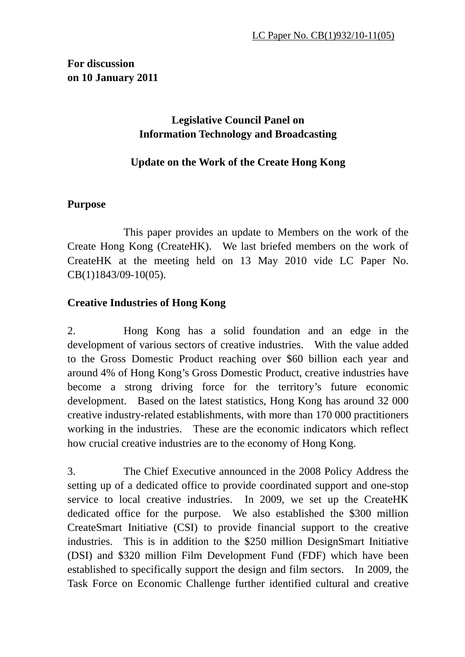# **For discussion on 10 January 2011**

# **Legislative Council Panel on Information Technology and Broadcasting**

# **Update on the Work of the Create Hong Kong**

## **Purpose**

 This paper provides an update to Members on the work of the Create Hong Kong (CreateHK). We last briefed members on the work of CreateHK at the meeting held on 13 May 2010 vide LC Paper No. CB(1)1843/09-10(05).

## **Creative Industries of Hong Kong**

2. Hong Kong has a solid foundation and an edge in the development of various sectors of creative industries. With the value added to the Gross Domestic Product reaching over \$60 billion each year and around 4% of Hong Kong's Gross Domestic Product, creative industries have become a strong driving force for the territory's future economic development. Based on the latest statistics, Hong Kong has around 32 000 creative industry-related establishments, with more than 170 000 practitioners working in the industries. These are the economic indicators which reflect how crucial creative industries are to the economy of Hong Kong.

3. The Chief Executive announced in the 2008 Policy Address the setting up of a dedicated office to provide coordinated support and one-stop service to local creative industries. In 2009, we set up the CreateHK dedicated office for the purpose. We also established the \$300 million CreateSmart Initiative (CSI) to provide financial support to the creative industries. This is in addition to the \$250 million DesignSmart Initiative (DSI) and \$320 million Film Development Fund (FDF) which have been established to specifically support the design and film sectors. In 2009, the Task Force on Economic Challenge further identified cultural and creative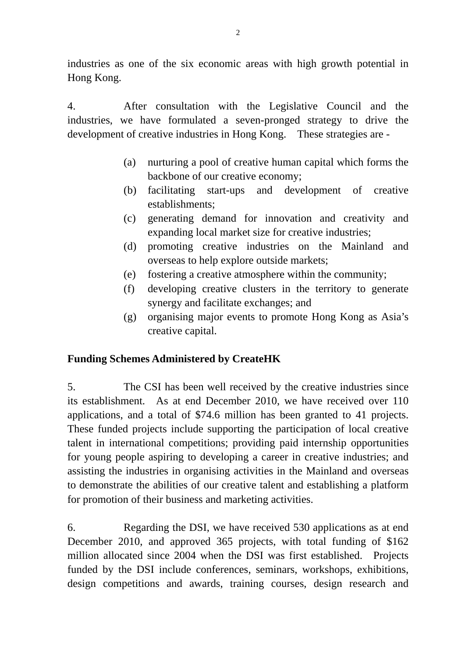industries as one of the six economic areas with high growth potential in Hong Kong.

4. After consultation with the Legislative Council and the industries, we have formulated a seven-pronged strategy to drive the development of creative industries in Hong Kong. These strategies are -

- (a) nurturing a pool of creative human capital which forms the backbone of our creative economy;
- (b) facilitating start-ups and development of creative establishments;
- (c) generating demand for innovation and creativity and expanding local market size for creative industries;
- (d) promoting creative industries on the Mainland and overseas to help explore outside markets;
- (e) fostering a creative atmosphere within the community;
- (f) developing creative clusters in the territory to generate synergy and facilitate exchanges; and
- (g) organising major events to promote Hong Kong as Asia's creative capital.

## **Funding Schemes Administered by CreateHK**

5. The CSI has been well received by the creative industries since its establishment. As at end December 2010, we have received over 110 applications, and a total of \$74.6 million has been granted to 41 projects. These funded projects include supporting the participation of local creative talent in international competitions; providing paid internship opportunities for young people aspiring to developing a career in creative industries; and assisting the industries in organising activities in the Mainland and overseas to demonstrate the abilities of our creative talent and establishing a platform for promotion of their business and marketing activities.

6. Regarding the DSI, we have received 530 applications as at end December 2010, and approved 365 projects, with total funding of \$162 million allocated since 2004 when the DSI was first established. Projects funded by the DSI include conferences, seminars, workshops, exhibitions, design competitions and awards, training courses, design research and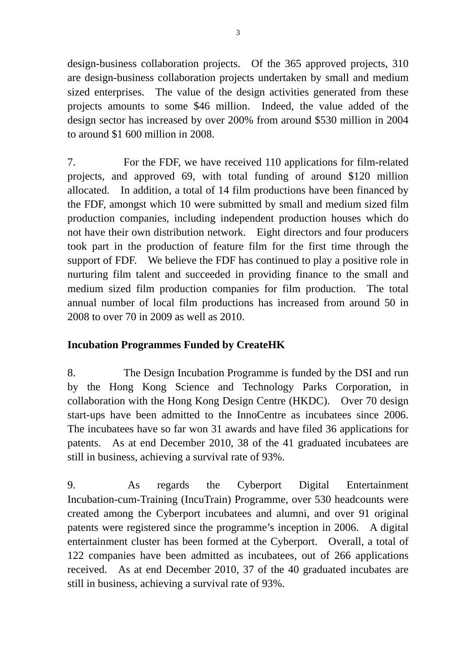design-business collaboration projects. Of the 365 approved projects, 310 are design-business collaboration projects undertaken by small and medium sized enterprises. The value of the design activities generated from these projects amounts to some \$46 million. Indeed, the value added of the design sector has increased by over 200% from around \$530 million in 2004 to around \$1 600 million in 2008.

7. For the FDF, we have received 110 applications for film-related projects, and approved 69, with total funding of around \$120 million allocated. In addition, a total of 14 film productions have been financed by the FDF, amongst which 10 were submitted by small and medium sized film production companies, including independent production houses which do not have their own distribution network. Eight directors and four producers took part in the production of feature film for the first time through the support of FDF. We believe the FDF has continued to play a positive role in nurturing film talent and succeeded in providing finance to the small and medium sized film production companies for film production. The total annual number of local film productions has increased from around 50 in 2008 to over 70 in 2009 as well as 2010.

# **Incubation Programmes Funded by CreateHK**

8. The Design Incubation Programme is funded by the DSI and run by the Hong Kong Science and Technology Parks Corporation, in collaboration with the Hong Kong Design Centre (HKDC). Over 70 design start-ups have been admitted to the InnoCentre as incubatees since 2006. The incubatees have so far won 31 awards and have filed 36 applications for patents. As at end December 2010, 38 of the 41 graduated incubatees are still in business, achieving a survival rate of 93%.

9. As regards the Cyberport Digital Entertainment Incubation-cum-Training (IncuTrain) Programme, over 530 headcounts were created among the Cyberport incubatees and alumni, and over 91 original patents were registered since the programme's inception in 2006. A digital entertainment cluster has been formed at the Cyberport. Overall, a total of 122 companies have been admitted as incubatees, out of 266 applications received. As at end December 2010, 37 of the 40 graduated incubates are still in business, achieving a survival rate of 93%.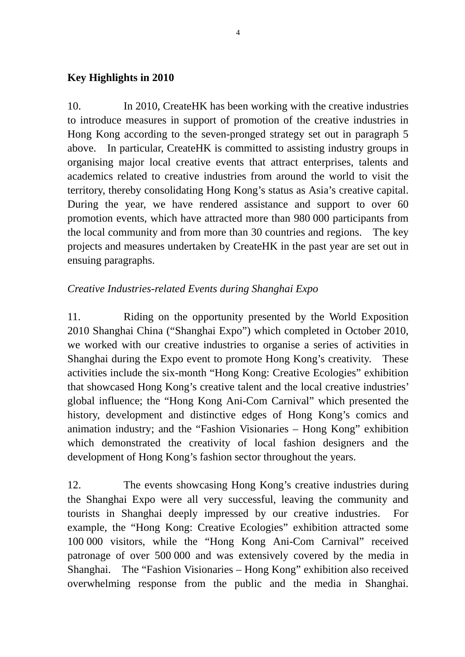#### **Key Highlights in 2010**

10. In 2010, CreateHK has been working with the creative industries to introduce measures in support of promotion of the creative industries in Hong Kong according to the seven-pronged strategy set out in paragraph 5 above. In particular, CreateHK is committed to assisting industry groups in organising major local creative events that attract enterprises, talents and academics related to creative industries from around the world to visit the territory, thereby consolidating Hong Kong's status as Asia's creative capital. During the year, we have rendered assistance and support to over 60 promotion events, which have attracted more than 980 000 participants from the local community and from more than 30 countries and regions. The key projects and measures undertaken by CreateHK in the past year are set out in ensuing paragraphs.

## *Creative Industries-related Events during Shanghai Expo*

11. Riding on the opportunity presented by the World Exposition 2010 Shanghai China ("Shanghai Expo") which completed in October 2010, we worked with our creative industries to organise a series of activities in Shanghai during the Expo event to promote Hong Kong's creativity. These activities include the six-month "Hong Kong: Creative Ecologies" exhibition that showcased Hong Kong's creative talent and the local creative industries' global influence; the "Hong Kong Ani-Com Carnival" which presented the history, development and distinctive edges of Hong Kong's comics and animation industry; and the "Fashion Visionaries – Hong Kong" exhibition which demonstrated the creativity of local fashion designers and the development of Hong Kong's fashion sector throughout the years.

12. The events showcasing Hong Kong's creative industries during the Shanghai Expo were all very successful, leaving the community and tourists in Shanghai deeply impressed by our creative industries. For example, the "Hong Kong: Creative Ecologies" exhibition attracted some 100 000 visitors, while the "Hong Kong Ani-Com Carnival" received patronage of over 500 000 and was extensively covered by the media in Shanghai. The "Fashion Visionaries – Hong Kong" exhibition also received overwhelming response from the public and the media in Shanghai.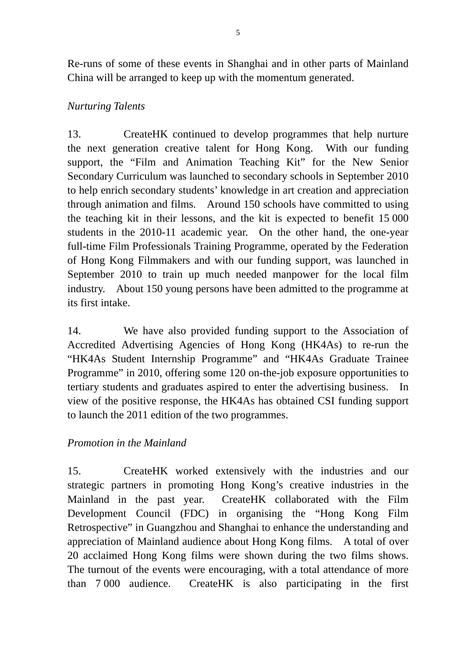Re-runs of some of these events in Shanghai and in other parts of Mainland China will be arranged to keep up with the momentum generated.

## *Nurturing Talents*

13. CreateHK continued to develop programmes that help nurture the next generation creative talent for Hong Kong. With our funding support, the "Film and Animation Teaching Kit" for the New Senior Secondary Curriculum was launched to secondary schools in September 2010 to help enrich secondary students' knowledge in art creation and appreciation through animation and films. Around 150 schools have committed to using the teaching kit in their lessons, and the kit is expected to benefit 15 000 students in the 2010-11 academic year. On the other hand, the one-year full-time Film Professionals Training Programme, operated by the Federation of Hong Kong Filmmakers and with our funding support, was launched in September 2010 to train up much needed manpower for the local film industry. About 150 young persons have been admitted to the programme at its first intake.

14. We have also provided funding support to the Association of Accredited Advertising Agencies of Hong Kong (HK4As) to re-run the "HK4As Student Internship Programme" and "HK4As Graduate Trainee Programme" in 2010, offering some 120 on-the-job exposure opportunities to tertiary students and graduates aspired to enter the advertising business. In view of the positive response, the HK4As has obtained CSI funding support to launch the 2011 edition of the two programmes.

## *Promotion in the Mainland*

15. CreateHK worked extensively with the industries and our strategic partners in promoting Hong Kong's creative industries in the Mainland in the past year. CreateHK collaborated with the Film Development Council (FDC) in organising the "Hong Kong Film Retrospective" in Guangzhou and Shanghai to enhance the understanding and appreciation of Mainland audience about Hong Kong films. A total of over 20 acclaimed Hong Kong films were shown during the two films shows. The turnout of the events were encouraging, with a total attendance of more than 7 000 audience. CreateHK is also participating in the first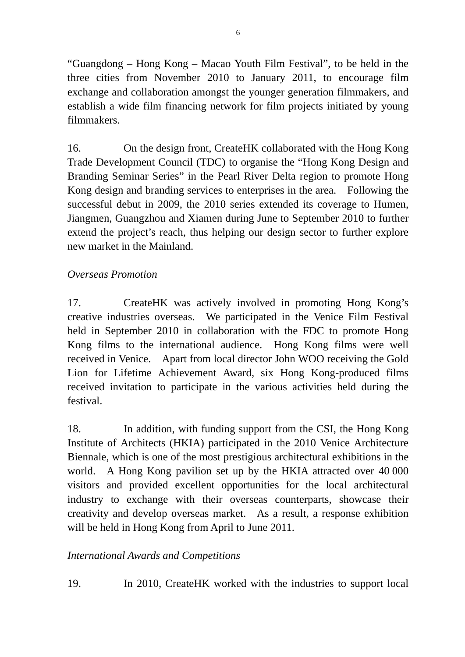"Guangdong – Hong Kong – Macao Youth Film Festival", to be held in the three cities from November 2010 to January 2011, to encourage film exchange and collaboration amongst the younger generation filmmakers, and establish a wide film financing network for film projects initiated by young filmmakers.

16. On the design front, CreateHK collaborated with the Hong Kong Trade Development Council (TDC) to organise the "Hong Kong Design and Branding Seminar Series" in the Pearl River Delta region to promote Hong Kong design and branding services to enterprises in the area. Following the successful debut in 2009, the 2010 series extended its coverage to Humen, Jiangmen, Guangzhou and Xiamen during June to September 2010 to further extend the project's reach, thus helping our design sector to further explore new market in the Mainland.

# *Overseas Promotion*

17. CreateHK was actively involved in promoting Hong Kong's creative industries overseas. We participated in the Venice Film Festival held in September 2010 in collaboration with the FDC to promote Hong Kong films to the international audience. Hong Kong films were well received in Venice. Apart from local director John WOO receiving the Gold Lion for Lifetime Achievement Award, six Hong Kong-produced films received invitation to participate in the various activities held during the festival.

18. In addition, with funding support from the CSI, the Hong Kong Institute of Architects (HKIA) participated in the 2010 Venice Architecture Biennale, which is one of the most prestigious architectural exhibitions in the world. A Hong Kong pavilion set up by the HKIA attracted over 40 000 visitors and provided excellent opportunities for the local architectural industry to exchange with their overseas counterparts, showcase their creativity and develop overseas market. As a result, a response exhibition will be held in Hong Kong from April to June 2011.

## *International Awards and Competitions*

19. In 2010, CreateHK worked with the industries to support local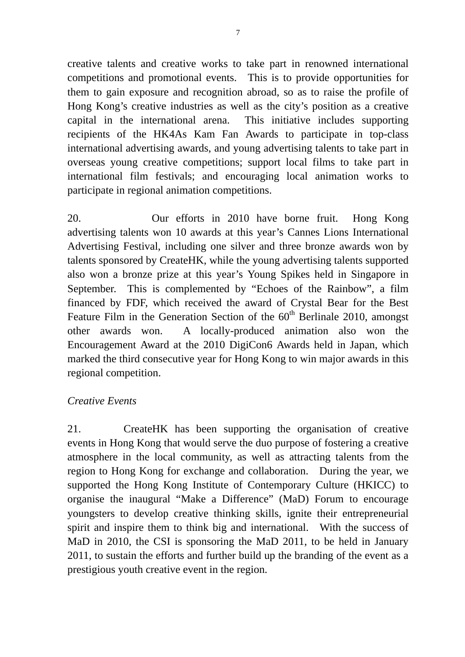creative talents and creative works to take part in renowned international competitions and promotional events. This is to provide opportunities for them to gain exposure and recognition abroad, so as to raise the profile of Hong Kong's creative industries as well as the city's position as a creative capital in the international arena. This initiative includes supporting recipients of the HK4As Kam Fan Awards to participate in top-class international advertising awards, and young advertising talents to take part in overseas young creative competitions; support local films to take part in international film festivals; and encouraging local animation works to participate in regional animation competitions.

20. Our efforts in 2010 have borne fruit. Hong Kong advertising talents won 10 awards at this year's Cannes Lions International Advertising Festival, including one silver and three bronze awards won by talents sponsored by CreateHK, while the young advertising talents supported also won a bronze prize at this year's Young Spikes held in Singapore in September. This is complemented by "Echoes of the Rainbow", a film financed by FDF, which received the award of Crystal Bear for the Best Feature Film in the Generation Section of the  $60<sup>th</sup>$  Berlinale 2010, amongst other awards won. A locally-produced animation also won the Encouragement Award at the 2010 DigiCon6 Awards held in Japan, which marked the third consecutive year for Hong Kong to win major awards in this regional competition.

#### *Creative Events*

21. CreateHK has been supporting the organisation of creative events in Hong Kong that would serve the duo purpose of fostering a creative atmosphere in the local community, as well as attracting talents from the region to Hong Kong for exchange and collaboration. During the year, we supported the Hong Kong Institute of Contemporary Culture (HKICC) to organise the inaugural "Make a Difference" (MaD) Forum to encourage youngsters to develop creative thinking skills, ignite their entrepreneurial spirit and inspire them to think big and international. With the success of MaD in 2010, the CSI is sponsoring the MaD 2011, to be held in January 2011, to sustain the efforts and further build up the branding of the event as a prestigious youth creative event in the region.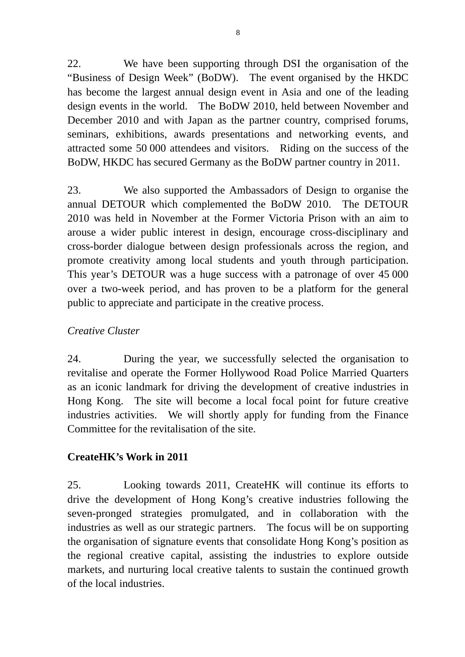22. We have been supporting through DSI the organisation of the "Business of Design Week" (BoDW). The event organised by the HKDC has become the largest annual design event in Asia and one of the leading design events in the world. The BoDW 2010, held between November and December 2010 and with Japan as the partner country, comprised forums, seminars, exhibitions, awards presentations and networking events, and attracted some 50 000 attendees and visitors. Riding on the success of the BoDW, HKDC has secured Germany as the BoDW partner country in 2011.

23. We also supported the Ambassadors of Design to organise the annual DETOUR which complemented the BoDW 2010. The DETOUR 2010 was held in November at the Former Victoria Prison with an aim to arouse a wider public interest in design, encourage cross-disciplinary and cross-border dialogue between design professionals across the region, and promote creativity among local students and youth through participation. This year's DETOUR was a huge success with a patronage of over 45 000 over a two-week period, and has proven to be a platform for the general public to appreciate and participate in the creative process.

## *Creative Cluster*

24. During the year, we successfully selected the organisation to revitalise and operate the Former Hollywood Road Police Married Quarters as an iconic landmark for driving the development of creative industries in Hong Kong. The site will become a local focal point for future creative industries activities. We will shortly apply for funding from the Finance Committee for the revitalisation of the site.

## **CreateHK's Work in 2011**

25. Looking towards 2011, CreateHK will continue its efforts to drive the development of Hong Kong's creative industries following the seven-pronged strategies promulgated, and in collaboration with the industries as well as our strategic partners. The focus will be on supporting the organisation of signature events that consolidate Hong Kong's position as the regional creative capital, assisting the industries to explore outside markets, and nurturing local creative talents to sustain the continued growth of the local industries.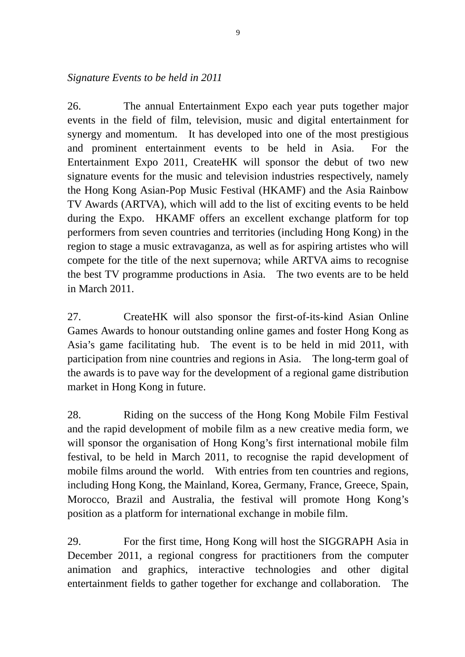#### *Signature Events to be held in 2011*

26. The annual Entertainment Expo each year puts together major events in the field of film, television, music and digital entertainment for synergy and momentum. It has developed into one of the most prestigious and prominent entertainment events to be held in Asia. For the Entertainment Expo 2011, CreateHK will sponsor the debut of two new signature events for the music and television industries respectively, namely the Hong Kong Asian-Pop Music Festival (HKAMF) and the Asia Rainbow TV Awards (ARTVA), which will add to the list of exciting events to be held during the Expo. HKAMF offers an excellent exchange platform for top performers from seven countries and territories (including Hong Kong) in the region to stage a music extravaganza, as well as for aspiring artistes who will compete for the title of the next supernova; while ARTVA aims to recognise the best TV programme productions in Asia. The two events are to be held in March 2011.

27. CreateHK will also sponsor the first-of-its-kind Asian Online Games Awards to honour outstanding online games and foster Hong Kong as Asia's game facilitating hub. The event is to be held in mid 2011, with participation from nine countries and regions in Asia. The long-term goal of the awards is to pave way for the development of a regional game distribution market in Hong Kong in future.

28. Riding on the success of the Hong Kong Mobile Film Festival and the rapid development of mobile film as a new creative media form, we will sponsor the organisation of Hong Kong's first international mobile film festival, to be held in March 2011, to recognise the rapid development of mobile films around the world. With entries from ten countries and regions, including Hong Kong, the Mainland, Korea, Germany, France, Greece, Spain, Morocco, Brazil and Australia, the festival will promote Hong Kong's position as a platform for international exchange in mobile film.

29. For the first time, Hong Kong will host the SIGGRAPH Asia in December 2011, a regional congress for practitioners from the computer animation and graphics, interactive technologies and other digital entertainment fields to gather together for exchange and collaboration. The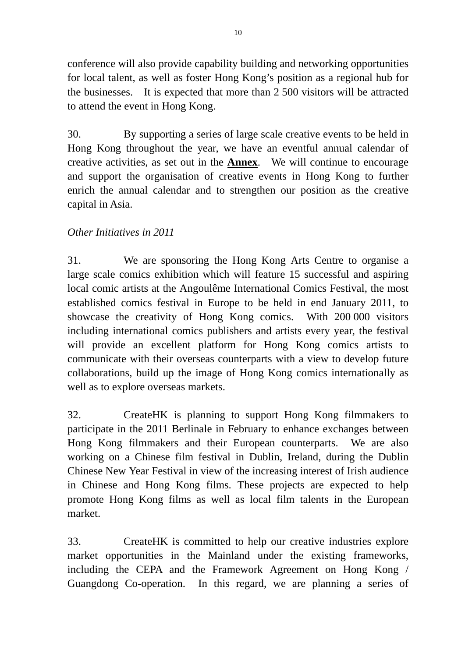conference will also provide capability building and networking opportunities for local talent, as well as foster Hong Kong's position as a regional hub for the businesses. It is expected that more than 2 500 visitors will be attracted to attend the event in Hong Kong.

30. By supporting a series of large scale creative events to be held in Hong Kong throughout the year, we have an eventful annual calendar of creative activities, as set out in the **Annex**. We will continue to encourage and support the organisation of creative events in Hong Kong to further enrich the annual calendar and to strengthen our position as the creative capital in Asia.

## *Other Initiatives in 2011*

31. We are sponsoring the Hong Kong Arts Centre to organise a large scale comics exhibition which will feature 15 successful and aspiring local comic artists at the Angoulême International Comics Festival, the most established comics festival in Europe to be held in end January 2011, to showcase the creativity of Hong Kong comics. With 200 000 visitors including international comics publishers and artists every year, the festival will provide an excellent platform for Hong Kong comics artists to communicate with their overseas counterparts with a view to develop future collaborations, build up the image of Hong Kong comics internationally as well as to explore overseas markets.

32. CreateHK is planning to support Hong Kong filmmakers to participate in the 2011 Berlinale in February to enhance exchanges between Hong Kong filmmakers and their European counterparts. We are also working on a Chinese film festival in Dublin, Ireland, during the Dublin Chinese New Year Festival in view of the increasing interest of Irish audience in Chinese and Hong Kong films. These projects are expected to help promote Hong Kong films as well as local film talents in the European market.

33. CreateHK is committed to help our creative industries explore market opportunities in the Mainland under the existing frameworks, including the CEPA and the Framework Agreement on Hong Kong / Guangdong Co-operation. In this regard, we are planning a series of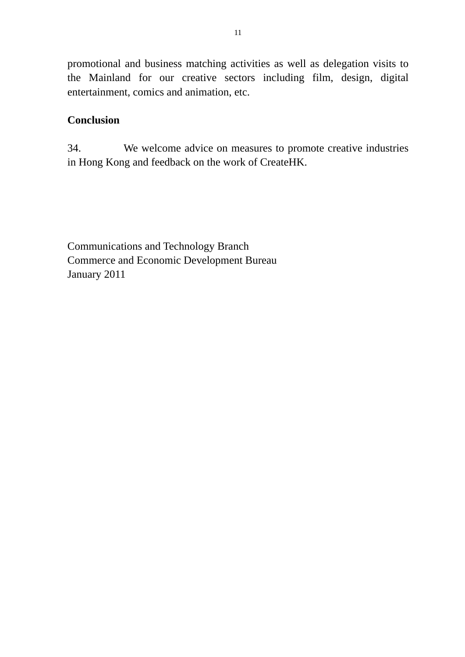promotional and business matching activities as well as delegation visits to the Mainland for our creative sectors including film, design, digital entertainment, comics and animation, etc.

#### **Conclusion**

34. We welcome advice on measures to promote creative industries in Hong Kong and feedback on the work of CreateHK.

Communications and Technology Branch Commerce and Economic Development Bureau January 2011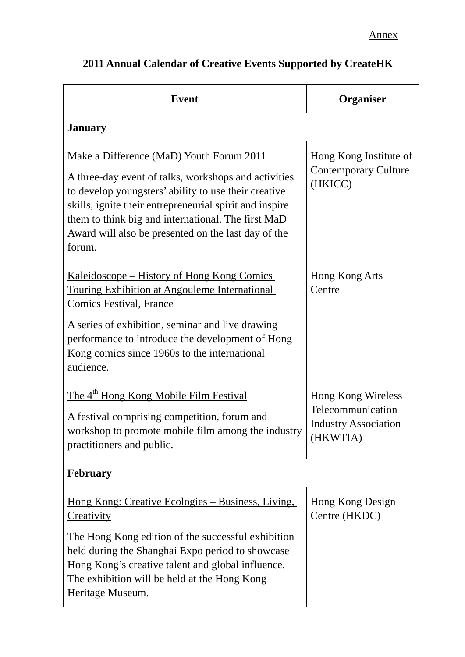| <b>Event</b>                                                                                                                                                                                                                                                                                                                               | Organiser                                                                                 |
|--------------------------------------------------------------------------------------------------------------------------------------------------------------------------------------------------------------------------------------------------------------------------------------------------------------------------------------------|-------------------------------------------------------------------------------------------|
| <b>January</b>                                                                                                                                                                                                                                                                                                                             |                                                                                           |
| Make a Difference (MaD) Youth Forum 2011<br>A three-day event of talks, workshops and activities<br>to develop youngsters' ability to use their creative<br>skills, ignite their entrepreneurial spirit and inspire<br>them to think big and international. The first MaD<br>Award will also be presented on the last day of the<br>forum. | Hong Kong Institute of<br><b>Contemporary Culture</b><br>(HKICC)                          |
| <u> Kaleidoscope – History of Hong Kong Comics</u><br>Touring Exhibition at Angouleme International<br><b>Comics Festival, France</b><br>A series of exhibition, seminar and live drawing<br>performance to introduce the development of Hong<br>Kong comics since 1960s to the international<br>audience.                                 | Hong Kong Arts<br>Centre                                                                  |
| The 4 <sup>th</sup> Hong Kong Mobile Film Festival<br>A festival comprising competition, forum and<br>workshop to promote mobile film among the industry<br>practitioners and public.                                                                                                                                                      | <b>Hong Kong Wireless</b><br>Telecommunication<br><b>Industry Association</b><br>(HKWTIA) |
| <b>February</b>                                                                                                                                                                                                                                                                                                                            |                                                                                           |
| <u> Hong Kong: Creative Ecologies – Business, Living,</u><br><b>Creativity</b><br>The Hong Kong edition of the successful exhibition<br>held during the Shanghai Expo period to showcase<br>Hong Kong's creative talent and global influence.<br>The exhibition will be held at the Hong Kong<br>Heritage Museum.                          | Hong Kong Design<br>Centre (HKDC)                                                         |

# **2011 Annual Calendar of Creative Events Supported by CreateHK**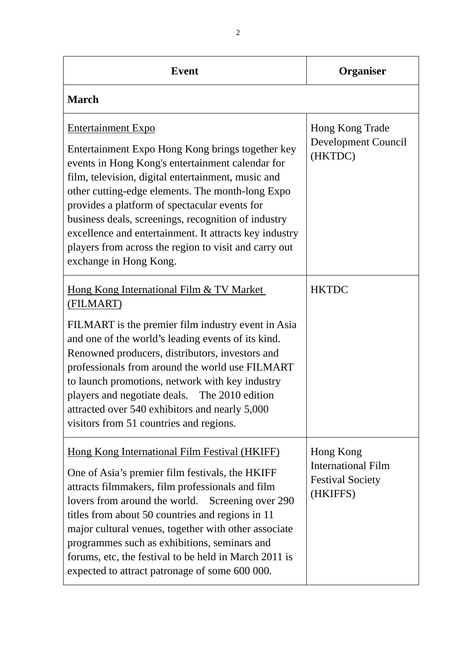| <b>Event</b>                                                                                                                                                                                                                                                                                                                                                                                                                                                                                     | <b>Organiser</b>                                                              |
|--------------------------------------------------------------------------------------------------------------------------------------------------------------------------------------------------------------------------------------------------------------------------------------------------------------------------------------------------------------------------------------------------------------------------------------------------------------------------------------------------|-------------------------------------------------------------------------------|
| <b>March</b>                                                                                                                                                                                                                                                                                                                                                                                                                                                                                     |                                                                               |
| <b>Entertainment Expo</b><br>Entertainment Expo Hong Kong brings together key<br>events in Hong Kong's entertainment calendar for<br>film, television, digital entertainment, music and<br>other cutting-edge elements. The month-long Expo<br>provides a platform of spectacular events for<br>business deals, screenings, recognition of industry<br>excellence and entertainment. It attracts key industry<br>players from across the region to visit and carry out<br>exchange in Hong Kong. | Hong Kong Trade<br>Development Council<br>(HKTDC)                             |
| Hong Kong International Film & TV Market<br>(FILMART)<br>FILMART is the premier film industry event in Asia<br>and one of the world's leading events of its kind.<br>Renowned producers, distributors, investors and<br>professionals from around the world use FILMART<br>to launch promotions, network with key industry<br>players and negotiate deals. The 2010 edition<br>attracted over 540 exhibitors and nearly 5,000<br>visitors from 51 countries and regions.                         | <b>HKTDC</b>                                                                  |
| <b>Hong Kong International Film Festival (HKIFF)</b><br>One of Asia's premier film festivals, the HKIFF<br>attracts filmmakers, film professionals and film<br>lovers from around the world. Screening over 290<br>titles from about 50 countries and regions in 11<br>major cultural venues, together with other associate<br>programmes such as exhibitions, seminars and<br>forums, etc, the festival to be held in March 2011 is<br>expected to attract patronage of some 600 000.           | Hong Kong<br><b>International Film</b><br><b>Festival Society</b><br>(HKIFFS) |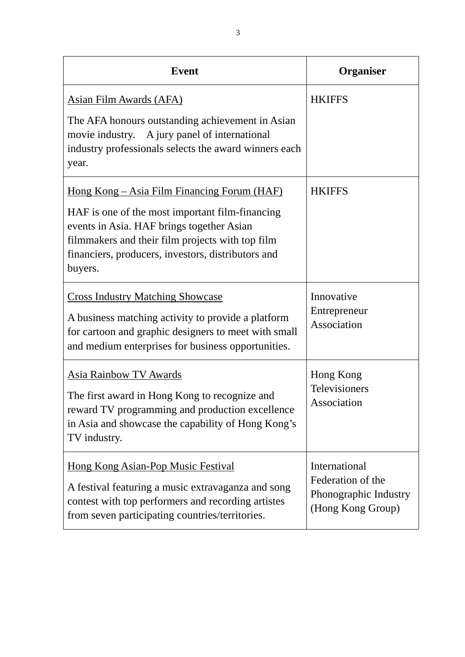| <b>Event</b>                                                                                                                                                                                                                                                             | <b>Organiser</b>                                                                 |
|--------------------------------------------------------------------------------------------------------------------------------------------------------------------------------------------------------------------------------------------------------------------------|----------------------------------------------------------------------------------|
| Asian Film Awards (AFA)<br>The AFA honours outstanding achievement in Asian<br>movie industry. A jury panel of international<br>industry professionals selects the award winners each<br>year.                                                                           | <b>HKIFFS</b>                                                                    |
| <u> Hong Kong – Asia Film Financing Forum (HAF)</u><br>HAF is one of the most important film-financing<br>events in Asia. HAF brings together Asian<br>filmmakers and their film projects with top film<br>financiers, producers, investors, distributors and<br>buyers. | <b>HKIFFS</b>                                                                    |
| <b>Cross Industry Matching Showcase</b><br>A business matching activity to provide a platform<br>for cartoon and graphic designers to meet with small<br>and medium enterprises for business opportunities.                                                              | Innovative<br>Entrepreneur<br>Association                                        |
| <b>Asia Rainbow TV Awards</b><br>The first award in Hong Kong to recognize and<br>reward TV programming and production excellence<br>in Asia and showcase the capability of Hong Kong's<br>TV industry.                                                                  | Hong Kong<br><b>Televisioners</b><br>Association                                 |
| <u>Hong Kong Asian-Pop Music Festival</u><br>A festival featuring a music extravaganza and song<br>contest with top performers and recording artistes<br>from seven participating countries/territories.                                                                 | International<br>Federation of the<br>Phonographic Industry<br>(Hong Kong Group) |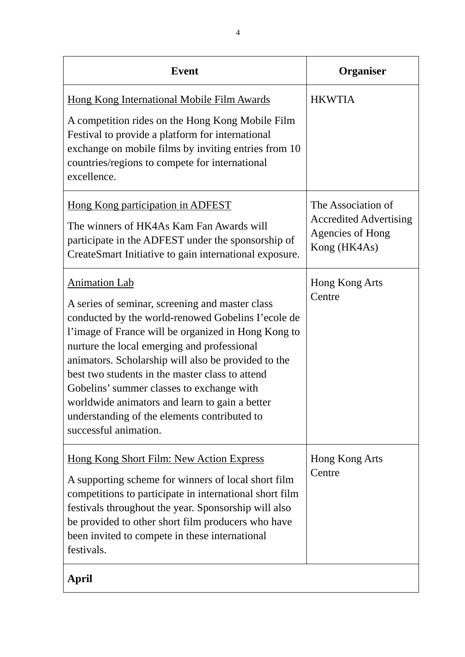| <b>Event</b>                                                                                                                                                                                                                                                                                                                                                                                                                                                                                                          | <b>Organiser</b>                                                                               |
|-----------------------------------------------------------------------------------------------------------------------------------------------------------------------------------------------------------------------------------------------------------------------------------------------------------------------------------------------------------------------------------------------------------------------------------------------------------------------------------------------------------------------|------------------------------------------------------------------------------------------------|
| <b>Hong Kong International Mobile Film Awards</b><br>A competition rides on the Hong Kong Mobile Film<br>Festival to provide a platform for international<br>exchange on mobile films by inviting entries from 10<br>countries/regions to compete for international<br>excellence.                                                                                                                                                                                                                                    | <b>HKWTIA</b>                                                                                  |
| Hong Kong participation in ADFEST<br>The winners of HK4As Kam Fan Awards will<br>participate in the ADFEST under the sponsorship of<br>CreateSmart Initiative to gain international exposure.                                                                                                                                                                                                                                                                                                                         | The Association of<br><b>Accredited Advertising</b><br><b>Agencies of Hong</b><br>Kong (HK4As) |
| <b>Animation Lab</b><br>A series of seminar, screening and master class<br>conducted by the world-renowed Gobelins I'ecole de<br>l'image of France will be organized in Hong Kong to<br>nurture the local emerging and professional<br>animators. Scholarship will also be provided to the<br>best two students in the master class to attend<br>Gobelins' summer classes to exchange with<br>worldwide animators and learn to gain a better<br>understanding of the elements contributed to<br>successful animation. | Hong Kong Arts<br>Centre                                                                       |
| <u>Hong Kong Short Film: New Action Express</u><br>A supporting scheme for winners of local short film<br>competitions to participate in international short film<br>festivals throughout the year. Sponsorship will also<br>be provided to other short film producers who have<br>been invited to compete in these international<br>festivals.                                                                                                                                                                       | Hong Kong Arts<br>Centre                                                                       |
| April                                                                                                                                                                                                                                                                                                                                                                                                                                                                                                                 |                                                                                                |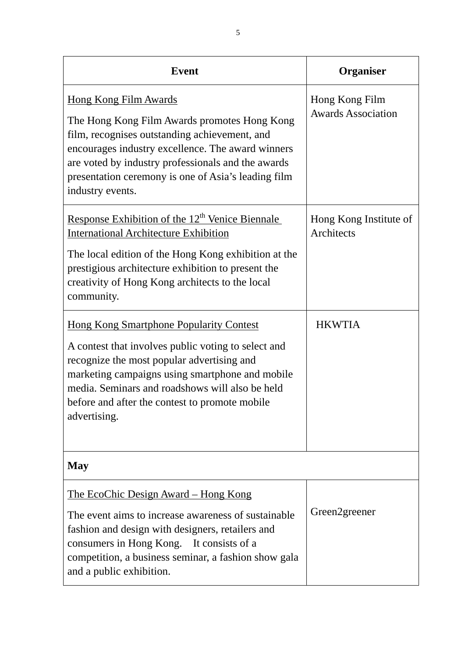| <b>Event</b>                                                                                                                                                                                                                                                                                                                | <b>Organiser</b>                            |
|-----------------------------------------------------------------------------------------------------------------------------------------------------------------------------------------------------------------------------------------------------------------------------------------------------------------------------|---------------------------------------------|
| <u>Hong Kong Film Awards</u><br>The Hong Kong Film Awards promotes Hong Kong<br>film, recognises outstanding achievement, and<br>encourages industry excellence. The award winners<br>are voted by industry professionals and the awards<br>presentation ceremony is one of Asia's leading film<br>industry events.         | Hong Kong Film<br><b>Awards Association</b> |
| Response Exhibition of the 12 <sup>th</sup> Venice Biennale<br><b>International Architecture Exhibition</b><br>The local edition of the Hong Kong exhibition at the<br>prestigious architecture exhibition to present the<br>creativity of Hong Kong architects to the local<br>community.                                  | Hong Kong Institute of<br>Architects        |
| <b>Hong Kong Smartphone Popularity Contest</b><br>A contest that involves public voting to select and<br>recognize the most popular advertising and<br>marketing campaigns using smartphone and mobile<br>media. Seminars and roadshows will also be held<br>before and after the contest to promote mobile<br>advertising. | <b>HKWTIA</b>                               |
| <b>May</b>                                                                                                                                                                                                                                                                                                                  |                                             |
| <u>The EcoChic Design Award – Hong Kong</u><br>The event aims to increase awareness of sustainable<br>fashion and design with designers, retailers and<br>consumers in Hong Kong. It consists of a<br>competition, a business seminar, a fashion show gala<br>and a public exhibition.                                      | Green2greener                               |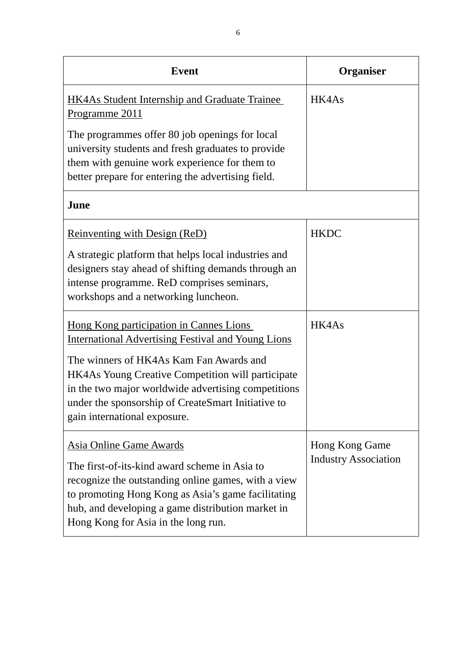| <b>Event</b>                                                                                                                                                                                                                                                                                                                                             | <b>Organiser</b>                              |
|----------------------------------------------------------------------------------------------------------------------------------------------------------------------------------------------------------------------------------------------------------------------------------------------------------------------------------------------------------|-----------------------------------------------|
| <b>HK4As Student Internship and Graduate Trainee</b><br>Programme 2011                                                                                                                                                                                                                                                                                   | HK4As                                         |
| The programmes offer 80 job openings for local<br>university students and fresh graduates to provide<br>them with genuine work experience for them to<br>better prepare for entering the advertising field.                                                                                                                                              |                                               |
| June                                                                                                                                                                                                                                                                                                                                                     |                                               |
| <b>Reinventing with Design (ReD)</b><br>A strategic platform that helps local industries and<br>designers stay ahead of shifting demands through an<br>intense programme. ReD comprises seminars,<br>workshops and a networking luncheon.                                                                                                                | <b>HKDC</b>                                   |
| Hong Kong participation in Cannes Lions<br><b>International Advertising Festival and Young Lions</b><br>The winners of HK4As Kam Fan Awards and<br><b>HK4As Young Creative Competition will participate</b><br>in the two major worldwide advertising competitions<br>under the sponsorship of CreateSmart Initiative to<br>gain international exposure. | HK4As                                         |
| <b>Asia Online Game Awards</b><br>The first-of-its-kind award scheme in Asia to<br>recognize the outstanding online games, with a view<br>to promoting Hong Kong as Asia's game facilitating<br>hub, and developing a game distribution market in<br>Hong Kong for Asia in the long run.                                                                 | Hong Kong Game<br><b>Industry Association</b> |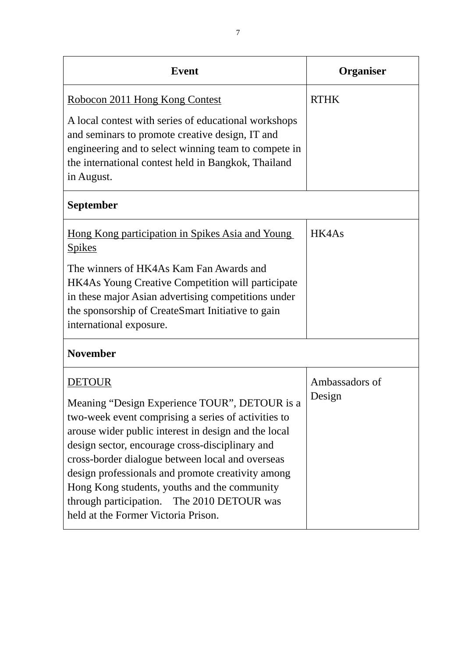| <b>Event</b>                                                                                                                                                                                                                                                                                                                                                                                                                                                                   | <b>Organiser</b>         |
|--------------------------------------------------------------------------------------------------------------------------------------------------------------------------------------------------------------------------------------------------------------------------------------------------------------------------------------------------------------------------------------------------------------------------------------------------------------------------------|--------------------------|
| Robocon 2011 Hong Kong Contest                                                                                                                                                                                                                                                                                                                                                                                                                                                 | <b>RTHK</b>              |
| A local contest with series of educational workshops<br>and seminars to promote creative design, IT and<br>engineering and to select winning team to compete in<br>the international contest held in Bangkok, Thailand<br>in August.                                                                                                                                                                                                                                           |                          |
| <b>September</b>                                                                                                                                                                                                                                                                                                                                                                                                                                                               |                          |
| <u>Hong Kong participation in Spikes Asia and Young</u><br><b>Spikes</b>                                                                                                                                                                                                                                                                                                                                                                                                       | HK4As                    |
| The winners of HK4As Kam Fan Awards and<br><b>HK4As Young Creative Competition will participate</b><br>in these major Asian advertising competitions under<br>the sponsorship of CreateSmart Initiative to gain<br>international exposure.                                                                                                                                                                                                                                     |                          |
| <b>November</b>                                                                                                                                                                                                                                                                                                                                                                                                                                                                |                          |
| <b>DETOUR</b><br>Meaning "Design Experience TOUR", DETOUR is a<br>two-week event comprising a series of activities to<br>arouse wider public interest in design and the local<br>design sector, encourage cross-disciplinary and<br>cross-border dialogue between local and overseas<br>design professionals and promote creativity among<br>Hong Kong students, youths and the community<br>through participation. The 2010 DETOUR was<br>held at the Former Victoria Prison. | Ambassadors of<br>Design |